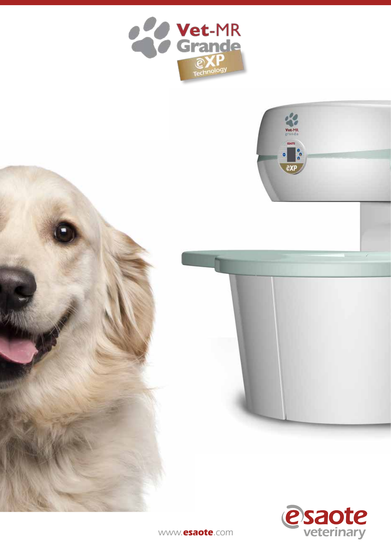





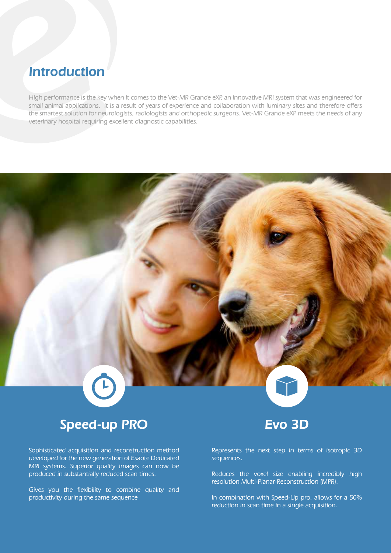## Introduction

High performance is the key when it comes to the Vet-MR Grande eXP, an innovative MRI system that was engineered for small animal applications. It is a result of years of experience and collaboration with luminary sites and therefore offers the smartest solution for neurologists, radiologists and orthopedic surgeons. Vet-MR Grande eXP meets the needs of any veterinary hospital requiring excellent diagnostic capabilities.

## Speed-up PRO

Sophisticated acquisition and reconstruction method developed for the new generation of Esaote Dedicated MRI systems. Superior quality images can now be produced in substantially reduced scan times.

Gives you the flexibility to combine quality and productivity during the same sequence

## Evo 3D

Represents the next step in terms of isotropic 3D sequences.

Reduces the voxel size enabling incredibly high resolution Multi-Planar-Reconstruction (MPR).

In combination with Speed-Up pro, allows for a 50% reduction in scan time in a single acquisition.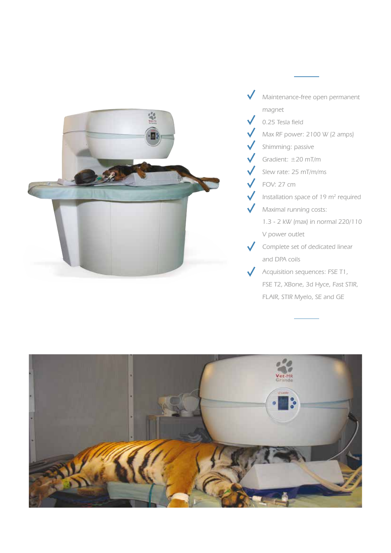

- Maintenance-free open permanent magnet 0.25 Tesla field
- Max RF power: 2100 W (2 amps)
- Shimming: passive
- Gradient: ±20 mT/m
- Slew rate: 25 mT/m/ms
- FOV: 27 cm
- Installation space of 19 $m<sup>2</sup>$  required
- Maximal running costs:
	- 1.3 2 kW (max) in normal 220/110 V power outlet
- Complete set of dedicated linear and DPA coils
- Acquisition sequences: FSE T1, FSE T2, XBone, 3d Hyce, Fast STIR, FLAIR, STIR Myelo, SE and GE

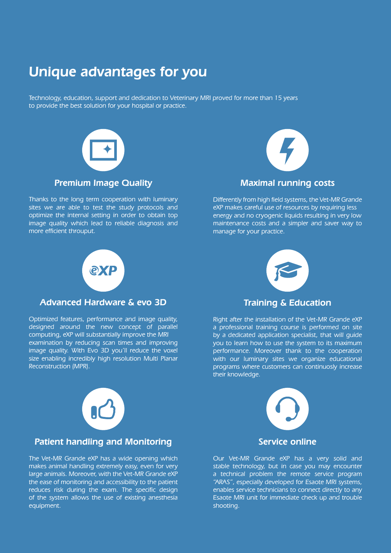# Unique advantages for you

Technology, education, support and dedication to Veterinary MRI proved for more than 15 years to provide the best solution for your hospital or practice.



Thanks to the long term cooperation with luminary sites we are able to test the study protocols and optimize the internal setting in order to obtain top image quality which lead to reliable diagnosis and more efficient throuput.



### Maximal running costs

Differently from high field systems, the Vet-MR Grande eXP makes careful use of resources by requiring less energy and no cryogenic liquids resulting in very low maintenance costs and a simpler and saver way to manage for your practice.



### Advanced Hardware & evo 3D

Optimized features, performance and image quality, designed around the new concept of parallel computing, eXP will substantially improve the MRI examination by reducing scan times and improving image quality. With Evo 3D you'll reduce the voxel size enabling incredibly high resolution Multi Planar Reconstruction (MPR).



### Training & Education

Right after the installation of the Vet-MR Grande eXP a professional training course is performed on site by a dedicated application specialist, that will guide you to learn how to use the system to its maximum performance. Moreover thank to the cooperation with our luminary sites we organize educational programs where customers can continuosly increase their knowledge.



### Patient handling and Monitoring

The Vet-MR Grande eXP has a wide opening which makes animal handling extremely easy, even for very large animals. Moreover, with the Vet-MR Grande eXP the ease of monitoring and accessibility to the patient reduces risk during the exam. The specific design of the system allows the use of existing anesthesia equipment.



Our Vet-MR Grande eXP has a very solid and stable technology, but in case you may encounter a technical problem the remote service program "ARAS", especially developed for Esaote MRI systems, enables service technicians to connect directly to any Esaote MRI unit for immediate check up and trouble shooting.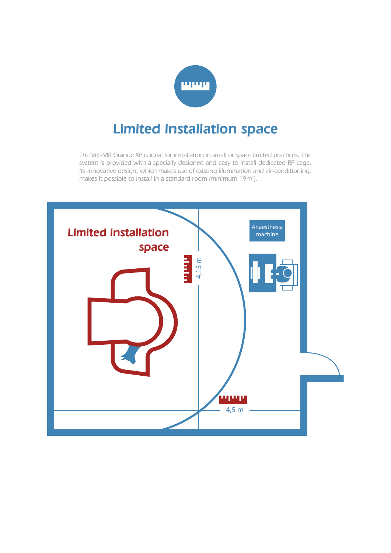

# Limited installation space

The Vet-MR Grande XP is ideal for installation in small or space limited practices. The system is provided with a specially designed and easy to install dedicated RF cage. Its innovative design, which makes use of existing illumination and air-conditioning, makes it possible to install in a standard room (minimum  $19m^2$ ).

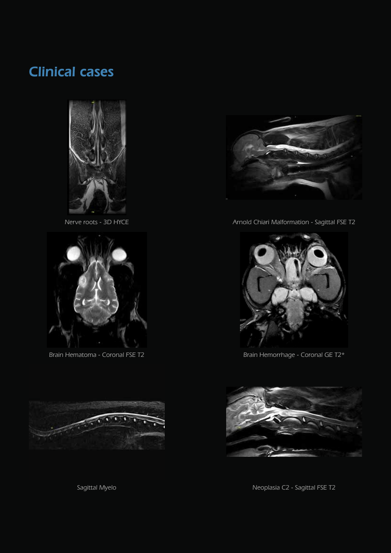# Clinical cases



Nerve roots - 3D HYCE



Brain Hematoma - Coronal FSE T2



Arnold Chiari Malformation - Sagittal FSE T2



Brain Hemorrhage - Coronal GE T2\*



Neoplasia C2 - Sagittal FSE T2



Sagittal Myelo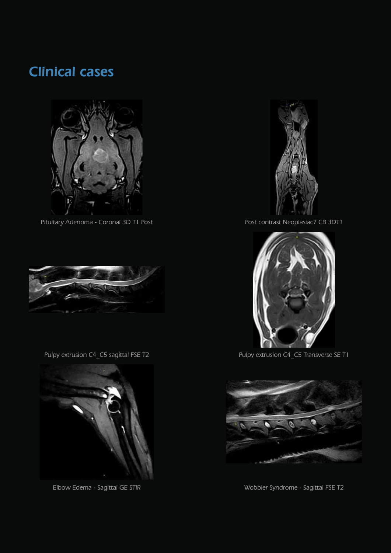# Clinical cases



Pituitary Adenoma - Coronal 3D T1 Post



Pulpy extrusion C4\_C5 sagittal FSE T2



Elbow Edema - Sagittal GE STIR



Post contrast Neoplasiac7 CB 3DT1



Pulpy extrusion C4\_C5 Transverse SE T1



Wobbler Syndrome - Sagittal FSE T2